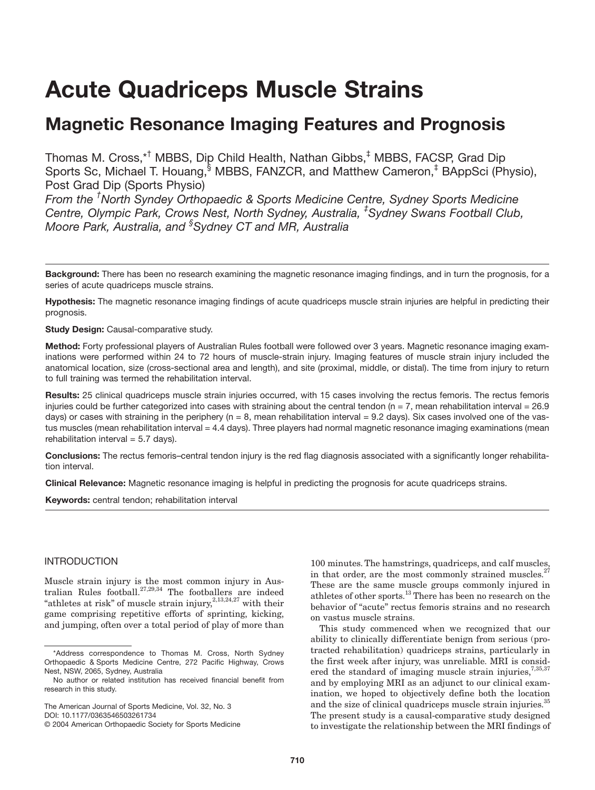# **Acute Quadriceps Muscle Strains**

# **Magnetic Resonance Imaging Features and Prognosis**

Thomas M. Cross,\*† MBBS, Dip Child Health, Nathan Gibbs,‡ MBBS, FACSP, Grad Dip Sports Sc, Michael T. Houang, MBBS, FANZCR, and Matthew Cameron,<sup>‡</sup> BAppSci (Physio), Post Grad Dip (Sports Physio)

*From the † North Syndey Orthopaedic & Sports Medicine Centre, Sydney Sports Medicine Centre, Olympic Park, Crows Nest, North Sydney, Australia, ‡ Sydney Swans Football Club, Moore Park, Australia, and § Sydney CT and MR, Australia*

**Background:** There has been no research examining the magnetic resonance imaging findings, and in turn the prognosis, for a series of acute quadriceps muscle strains.

**Hypothesis:** The magnetic resonance imaging findings of acute quadriceps muscle strain injuries are helpful in predicting their prognosis.

**Study Design:** Causal-comparative study.

**Method:** Forty professional players of Australian Rules football were followed over 3 years. Magnetic resonance imaging examinations were performed within 24 to 72 hours of muscle-strain injury. Imaging features of muscle strain injury included the anatomical location, size (cross-sectional area and length), and site (proximal, middle, or distal). The time from injury to return to full training was termed the rehabilitation interval.

**Results:** 25 clinical quadriceps muscle strain injuries occurred, with 15 cases involving the rectus femoris. The rectus femoris injuries could be further categorized into cases with straining about the central tendon ( $n = 7$ , mean rehabilitation interval = 26.9 days) or cases with straining in the periphery ( $n = 8$ , mean rehabilitation interval = 9.2 days). Six cases involved one of the vastus muscles (mean rehabilitation interval = 4.4 days). Three players had normal magnetic resonance imaging examinations (mean rehabilitation interval  $= 5.7$  days).

**Conclusions:** The rectus femoris–central tendon injury is the red flag diagnosis associated with a significantly longer rehabilitation interval.

**Clinical Relevance:** Magnetic resonance imaging is helpful in predicting the prognosis for acute quadriceps strains.

**Keywords:** central tendon; rehabilitation interval

# INTRODUCTION

Muscle strain injury is the most common injury in Australian Rules football.27,29,34 The footballers are indeed "athletes at risk" of muscle strain injury, $2,13,24,27$  with their game comprising repetitive efforts of sprinting, kicking, and jumping, often over a total period of play of more than

100 minutes. The hamstrings, quadriceps, and calf muscles, in that order, are the most commonly strained muscles.<sup>2</sup> These are the same muscle groups commonly injured in athletes of other sports.<sup>13</sup> There has been no research on the behavior of "acute" rectus femoris strains and no research on vastus muscle strains.

This study commenced when we recognized that our ability to clinically differentiate benign from serious (protracted rehabilitation) quadriceps strains, particularly in the first week after injury, was unreliable. MRI is considered the standard of imaging muscle strain injuries,<sup>7,35,37</sup> and by employing MRI as an adjunct to our clinical examination, we hoped to objectively define both the location and the size of clinical quadriceps muscle strain injuries.<sup>35</sup> The present study is a causal-comparative study designed to investigate the relationship between the MRI findings of

<sup>\*</sup>Address correspondence to Thomas M. Cross, North Sydney Orthopaedic & Sports Medicine Centre, 272 Pacific Highway, Crows Nest, NSW, 2065, Sydney, Australia

No author or related institution has received financial benefit from research in this study.

The American Journal of Sports Medicine, Vol. 32, No. 3

DOI: 10.1177/0363546503261734

<sup>© 2004</sup> American Orthopaedic Society for Sports Medicine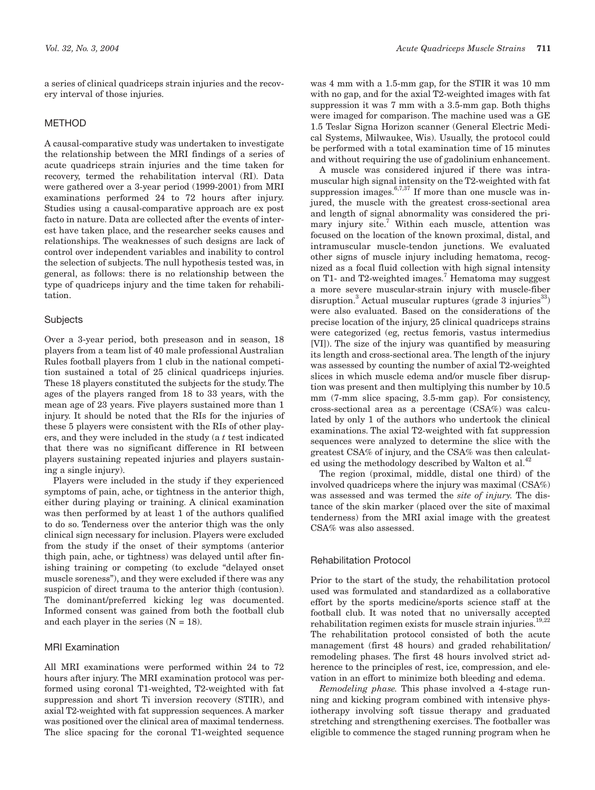a series of clinical quadriceps strain injuries and the recovery interval of those injuries.

# METHOD

A causal-comparative study was undertaken to investigate the relationship between the MRI findings of a series of acute quadriceps strain injuries and the time taken for recovery, termed the rehabilitation interval (RI). Data were gathered over a 3-year period (1999-2001) from MRI examinations performed 24 to 72 hours after injury. Studies using a causal-comparative approach are ex post facto in nature. Data are collected after the events of interest have taken place, and the researcher seeks causes and relationships. The weaknesses of such designs are lack of control over independent variables and inability to control the selection of subjects. The null hypothesis tested was, in general, as follows: there is no relationship between the type of quadriceps injury and the time taken for rehabilitation.

#### **Subjects**

Over a 3-year period, both preseason and in season, 18 players from a team list of 40 male professional Australian Rules football players from 1 club in the national competition sustained a total of 25 clinical quadriceps injuries. These 18 players constituted the subjects for the study. The ages of the players ranged from 18 to 33 years, with the mean age of 23 years. Five players sustained more than 1 injury. It should be noted that the RIs for the injuries of these 5 players were consistent with the RIs of other players, and they were included in the study (a *t* test indicated that there was no significant difference in RI between players sustaining repeated injuries and players sustaining a single injury).

Players were included in the study if they experienced symptoms of pain, ache, or tightness in the anterior thigh, either during playing or training. A clinical examination was then performed by at least 1 of the authors qualified to do so. Tenderness over the anterior thigh was the only clinical sign necessary for inclusion. Players were excluded from the study if the onset of their symptoms (anterior thigh pain, ache, or tightness) was delayed until after finishing training or competing (to exclude "delayed onset muscle soreness"), and they were excluded if there was any suspicion of direct trauma to the anterior thigh (contusion). The dominant/preferred kicking leg was documented. Informed consent was gained from both the football club and each player in the series  $(N = 18)$ .

#### MRI Examination

All MRI examinations were performed within 24 to 72 hours after injury. The MRI examination protocol was performed using coronal T1-weighted, T2-weighted with fat suppression and short Ti inversion recovery (STIR), and axial T2-weighted with fat suppression sequences. A marker was positioned over the clinical area of maximal tenderness. The slice spacing for the coronal T1-weighted sequence

was 4 mm with a 1.5-mm gap, for the STIR it was 10 mm with no gap, and for the axial T2-weighted images with fat suppression it was 7 mm with a 3.5-mm gap. Both thighs were imaged for comparison. The machine used was a GE 1.5 Teslar Signa Horizon scanner (General Electric Medical Systems, Milwaukee, Wis). Usually, the protocol could be performed with a total examination time of 15 minutes and without requiring the use of gadolinium enhancement.

A muscle was considered injured if there was intramuscular high signal intensity on the T2-weighted with fat suppression images.  $6,7,37$  If more than one muscle was injured, the muscle with the greatest cross-sectional area and length of signal abnormality was considered the primary injury site.<sup>7</sup> Within each muscle, attention was focused on the location of the known proximal, distal, and intramuscular muscle-tendon junctions. We evaluated other signs of muscle injury including hematoma, recognized as a focal fluid collection with high signal intensity on T1- and T2-weighted images.<sup>7</sup> Hematoma may suggest a more severe muscular-strain injury with muscle-fiber disruption.<sup>3</sup> Actual muscular ruptures (grade 3 injuries<sup>33</sup>) were also evaluated. Based on the considerations of the precise location of the injury, 25 clinical quadriceps strains were categorized (eg, rectus femoris, vastus intermedius [VI]). The size of the injury was quantified by measuring its length and cross-sectional area. The length of the injury was assessed by counting the number of axial T2-weighted slices in which muscle edema and/or muscle fiber disruption was present and then multiplying this number by 10.5 mm (7-mm slice spacing, 3.5-mm gap). For consistency, cross-sectional area as a percentage (CSA%) was calculated by only 1 of the authors who undertook the clinical examinations. The axial T2-weighted with fat suppression sequences were analyzed to determine the slice with the greatest CSA% of injury, and the CSA% was then calculated using the methodology described by Walton et al.<sup>4</sup>

The region (proximal, middle, distal one third) of the involved quadriceps where the injury was maximal (CSA%) was assessed and was termed the *site of injury.* The distance of the skin marker (placed over the site of maximal tenderness) from the MRI axial image with the greatest CSA% was also assessed.

#### Rehabilitation Protocol

Prior to the start of the study, the rehabilitation protocol used was formulated and standardized as a collaborative effort by the sports medicine/sports science staff at the football club. It was noted that no universally accepted rehabilitation regimen exists for muscle strain injuries.<sup>19,22</sup> The rehabilitation protocol consisted of both the acute management (first 48 hours) and graded rehabilitation/ remodeling phases. The first 48 hours involved strict adherence to the principles of rest, ice, compression, and elevation in an effort to minimize both bleeding and edema.

*Remodeling phase.* This phase involved a 4-stage running and kicking program combined with intensive physiotherapy involving soft tissue therapy and graduated stretching and strengthening exercises. The footballer was eligible to commence the staged running program when he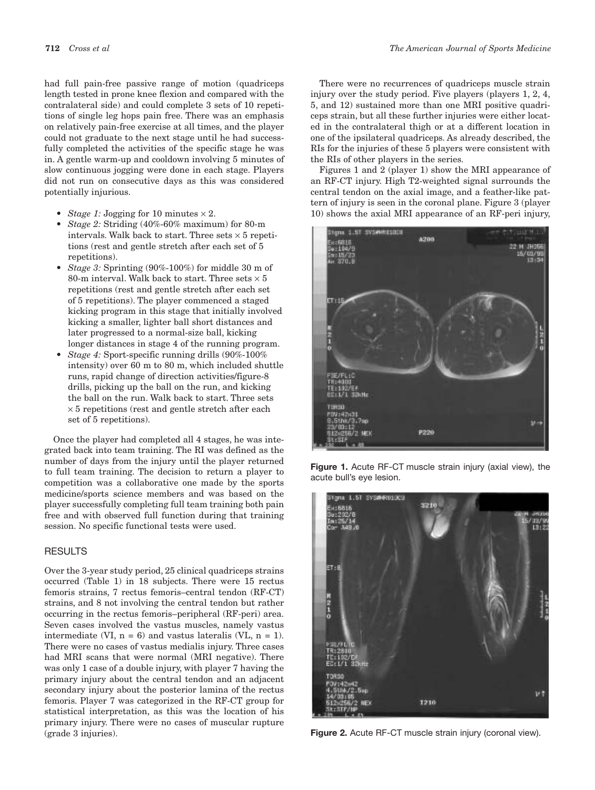had full pain-free passive range of motion (quadriceps length tested in prone knee flexion and compared with the contralateral side) and could complete 3 sets of 10 repetitions of single leg hops pain free. There was an emphasis on relatively pain-free exercise at all times, and the player could not graduate to the next stage until he had successfully completed the activities of the specific stage he was in. A gentle warm-up and cooldown involving 5 minutes of slow continuous jogging were done in each stage. Players did not run on consecutive days as this was considered potentially injurious.

- *Stage 1:* Jogging for 10 minutes  $\times$  2.
- *Stage 2:* Striding (40%-60% maximum) for 80-m intervals. Walk back to start. Three sets  $\times$  5 repetitions (rest and gentle stretch after each set of 5 repetitions).
- *Stage 3:* Sprinting (90%-100%) for middle 30 m of 80-m interval. Walk back to start. Three sets  $\times$  5 repetitions (rest and gentle stretch after each set of 5 repetitions). The player commenced a staged kicking program in this stage that initially involved kicking a smaller, lighter ball short distances and later progressed to a normal-size ball, kicking longer distances in stage 4 of the running program.
- *Stage 4:* Sport-specific running drills (90%-100% intensity) over 60 m to 80 m, which included shuttle runs, rapid change of direction activities/figure-8 drills, picking up the ball on the run, and kicking the ball on the run. Walk back to start. Three sets  $\times$  5 repetitions (rest and gentle stretch after each set of 5 repetitions).

Once the player had completed all 4 stages, he was integrated back into team training. The RI was defined as the number of days from the injury until the player returned to full team training. The decision to return a player to competition was a collaborative one made by the sports medicine/sports science members and was based on the player successfully completing full team training both pain free and with observed full function during that training session. No specific functional tests were used.

# **RESULTS**

Over the 3-year study period, 25 clinical quadriceps strains occurred (Table 1) in 18 subjects. There were 15 rectus femoris strains, 7 rectus femoris–central tendon (RF-CT) strains, and 8 not involving the central tendon but rather occurring in the rectus femoris–peripheral (RF-peri) area. Seven cases involved the vastus muscles, namely vastus intermediate (VI,  $n = 6$ ) and vastus lateralis (VL,  $n = 1$ ). There were no cases of vastus medialis injury. Three cases had MRI scans that were normal (MRI negative). There was only 1 case of a double injury, with player 7 having the primary injury about the central tendon and an adjacent secondary injury about the posterior lamina of the rectus femoris. Player 7 was categorized in the RF-CT group for statistical interpretation, as this was the location of his primary injury. There were no cases of muscular rupture (grade 3 injuries).

There were no recurrences of quadriceps muscle strain injury over the study period. Five players (players 1, 2, 4, 5, and 12) sustained more than one MRI positive quadriceps strain, but all these further injuries were either located in the contralateral thigh or at a different location in one of the ipsilateral quadriceps. As already described, the RIs for the injuries of these 5 players were consistent with the RIs of other players in the series.

Figures 1 and 2 (player 1) show the MRI appearance of an RF-CT injury. High T2-weighted signal surrounds the central tendon on the axial image, and a feather-like pattern of injury is seen in the coronal plane. Figure 3 (player 10) shows the axial MRI appearance of an RF-peri injury,



**Figure 1.** Acute RF-CT muscle strain injury (axial view), the acute bull's eye lesion.



**Figure 2.** Acute RF-CT muscle strain injury (coronal view).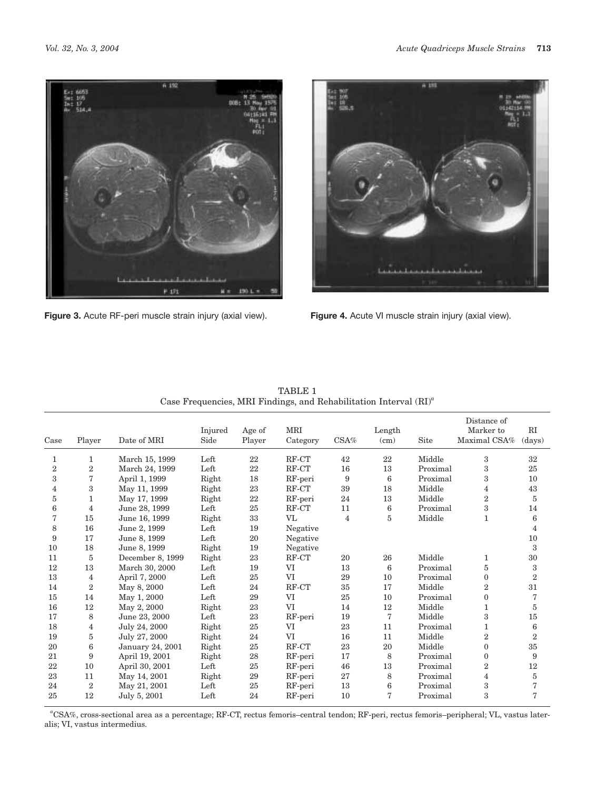

**Figure 3.** Acute RF-peri muscle strain injury (axial view). **Figure 4.** Acute VI muscle strain injury (axial view).



|                |                |                  |         |        |          |      |        |             | Distance of    |                 |
|----------------|----------------|------------------|---------|--------|----------|------|--------|-------------|----------------|-----------------|
|                |                |                  | Injured | Age of | MRI      |      | Length |             | Marker to      | RI              |
| Case           | Player         | Date of MRI      | Side    | Player | Category | CSA% | (cm)   | <b>Site</b> | Maximal CSA%   | (days)          |
| 1              | $\mathbf{1}$   | March 15, 1999   | Left    | 22     | RF-CT    | 42   | 22     | Middle      | 3              | 32              |
| $\overline{2}$ | $\overline{2}$ | March 24, 1999   | Left    | 22     | RF-CT    | 16   | 13     | Proximal    | 3              | 25              |
| 3              | 7              | April 1, 1999    | Right   | 18     | RF-peri  | 9    | 6      | Proximal    | 3              | 10              |
| 4              | 3              | May 11, 1999     | Right   | 23     | RF-CT    | 39   | 18     | Middle      | 4              | 43              |
| 5              | 1              | May 17, 1999     | Right   | 22     | RF-peri  | 24   | 13     | Middle      | $\overline{2}$ | 5               |
| 6              | 4              | June 28, 1999    | Left    | 25     | RF-CT    | 11   | 6      | Proximal    | 3              | 14              |
| 7              | 15             | June 16, 1999    | Right   | 33     | VL       | 4    | 5      | Middle      | 1              | $6\phantom{1}6$ |
| 8              | 16             | June 2, 1999     | Left    | 19     | Negative |      |        |             |                | 4               |
| 9              | 17             | June 8, 1999     | Left    | 20     | Negative |      |        |             |                | 10              |
| 10             | 18             | June 8, 1999     | Right   | 19     | Negative |      |        |             |                | 3               |
| 11             | 5              | December 8, 1999 | Right   | 23     | RF-CT    | 20   | 26     | Middle      | $\mathbf 1$    | 30              |
| 12             | 13             | March 30, 2000   | Left    | 19     | VI       | 13   | 6      | Proximal    | 5              | 3               |
| 13             | 4              | April 7, 2000    | Left    | 25     | VI       | 29   | 10     | Proximal    | $\mathbf{0}$   | $\overline{2}$  |
| 14             | $\overline{2}$ | May 8, 2000      | Left    | 24     | RF-CT    | 35   | 17     | Middle      | $\overline{2}$ | 31              |
| 15             | 14             | May 1, 2000      | Left    | 29     | VI       | 25   | 10     | Proximal    | $\Omega$       | 7               |
| 16             | 12             | May 2, 2000      | Right   | 23     | VI       | 14   | 12     | Middle      | 1              | $\overline{5}$  |
| 17             | 8              | June 23, 2000    | Left    | 23     | RF-peri  | 19   | 7      | Middle      | 3              | 15              |
| 18             | 4              | July 24, 2000    | Right   | 25     | VI       | 23   | 11     | Proximal    | 1              | 6               |
| 19             | 5              | July 27, 2000    | Right   | 24     | VI       | 16   | 11     | Middle      | $\overline{2}$ | $\overline{2}$  |
| 20             | 6              | January 24, 2001 | Right   | 25     | RF-CT    | 23   | 20     | Middle      | $\Omega$       | 35              |
| 21             | 9              | April 19, 2001   | Right   | 28     | RF-peri  | 17   | 8      | Proximal    | $\mathbf{0}$   | 9               |
| 22             | 10             | April 30, 2001   | Left    | 25     | RF-peri  | 46   | 13     | Proximal    | $\overline{2}$ | 12              |
| 23             | 11             | May 14, 2001     | Right   | 29     | RF-peri  | 27   | 8      | Proximal    | 4              | $5\,$           |
| 24             | $\overline{2}$ | May 21, 2001     | Left    | 25     | RF-peri  | 13   | 6      | Proximal    | 3              | 7               |
| 25             | 12             | July 5, 2001     | Left    | 24     | RF-peri  | 10   | 7      | Proximal    | 3              | 7               |

TABLE 1 Case Frequencies, MRI Findings, and Rehabilitation Interval (RI)*<sup>a</sup>*

*a* CSA%, cross-sectional area as a percentage; RF-CT, rectus femoris–central tendon; RF-peri, rectus femoris–peripheral; VL, vastus lateralis; VI, vastus intermedius.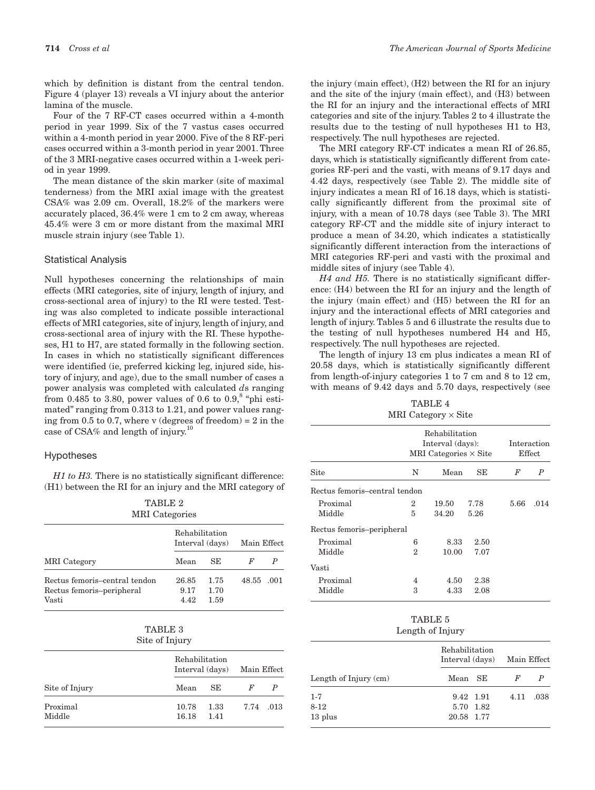which by definition is distant from the central tendon. Figure 4 (player 13) reveals a VI injury about the anterior lamina of the muscle.

Four of the 7 RF-CT cases occurred within a 4-month period in year 1999. Six of the 7 vastus cases occurred within a 4-month period in year 2000. Five of the 8 RF-peri cases occurred within a 3-month period in year 2001. Three of the 3 MRI-negative cases occurred within a 1-week period in year 1999.

The mean distance of the skin marker (site of maximal tenderness) from the MRI axial image with the greatest CSA% was 2.09 cm. Overall, 18.2% of the markers were accurately placed, 36.4% were 1 cm to 2 cm away, whereas 45.4% were 3 cm or more distant from the maximal MRI muscle strain injury (see Table 1).

#### Statistical Analysis

Null hypotheses concerning the relationships of main effects (MRI categories, site of injury, length of injury, and cross-sectional area of injury) to the RI were tested. Testing was also completed to indicate possible interactional effects of MRI categories, site of injury, length of injury, and cross-sectional area of injury with the RI. These hypotheses, H1 to H7, are stated formally in the following section. In cases in which no statistically significant differences were identified (ie, preferred kicking leg, injured side, history of injury, and age), due to the small number of cases a power analysis was completed with calculated *d*s ranging from 0.485 to 3.80, power values of 0.6 to 0.9,<sup>8</sup> "phi estimated" ranging from 0.313 to 1.21, and power values ranging from 0.5 to 0.7, where v (degrees of freedom) =  $2$  in the case of CSA% and length of injury.10

#### Hypotheses

*H1 to H3.* There is no statistically significant difference: (H1) between the RI for an injury and the MRI category of

| TABLE 2               |
|-----------------------|
| <b>MRI</b> Categories |

|                               | Rehabilitation<br>Interval (days) | Main Effect |            |  |
|-------------------------------|-----------------------------------|-------------|------------|--|
| <b>MRI</b> Category           | Mean                              | SE.         |            |  |
| Rectus femoris-central tendon | 26.85                             | 1.75        | 48.55 .001 |  |
| Rectus femoris-peripheral     | 9.17                              | 1.70        |            |  |
| Vasti                         | 4.42                              | 1.59        |            |  |

| TABLE 3        |
|----------------|
| Site of Injury |

|                    |                | Rehabilitation<br>Interval (days) Main Effect |           |  |  |
|--------------------|----------------|-----------------------------------------------|-----------|--|--|
| Site of Injury     | Mean           | SE.                                           | F         |  |  |
| Proximal<br>Middle | 10.78<br>16.18 | 1.33<br>1.41                                  | 7.74 .013 |  |  |

the injury (main effect), (H2) between the RI for an injury and the site of the injury (main effect), and (H3) between the RI for an injury and the interactional effects of MRI categories and site of the injury. Tables 2 to 4 illustrate the results due to the testing of null hypotheses H1 to H3, respectively. The null hypotheses are rejected.

The MRI category RF-CT indicates a mean RI of 26.85, days, which is statistically significantly different from categories RF-peri and the vasti, with means of 9.17 days and 4.42 days, respectively (see Table 2). The middle site of injury indicates a mean RI of 16.18 days, which is statistically significantly different from the proximal site of injury, with a mean of 10.78 days (see Table 3). The MRI category RF-CT and the middle site of injury interact to produce a mean of 34.20, which indicates a statistically significantly different interaction from the interactions of MRI categories RF-peri and vasti with the proximal and middle sites of injury (see Table 4).

*H4 and H5.* There is no statistically significant difference: (H4) between the RI for an injury and the length of the injury (main effect) and (H5) between the RI for an injury and the interactional effects of MRI categories and length of injury. Tables 5 and 6 illustrate the results due to the testing of null hypotheses numbered H4 and H5, respectively. The null hypotheses are rejected.

The length of injury 13 cm plus indicates a mean RI of 20.58 days, which is statistically significantly different from length-of-injury categories 1 to 7 cm and 8 to 12 cm, with means of 9.42 days and 5.70 days, respectively (see

| TABLE 4                    |
|----------------------------|
| MRI Category $\times$ Site |

|                               | Rehabilitation<br>Interval (days):<br>MRI Categories $\times$ Site | Interaction<br>Effect |              |      |      |
|-------------------------------|--------------------------------------------------------------------|-----------------------|--------------|------|------|
| Site                          | N                                                                  | Mean                  | SE           | F    | P    |
| Rectus femoris-central tendon |                                                                    |                       |              |      |      |
| Proximal<br>Middle            | 2<br>5                                                             | 19.50<br>34.20        | 7.78<br>5.26 | 5.66 | .014 |
| Rectus femoris-peripheral     |                                                                    |                       |              |      |      |
| Proximal<br>Middle            | 6<br>2                                                             | 8.33<br>10.00         | 2.50<br>7.07 |      |      |
| Vasti                         |                                                                    |                       |              |      |      |
| Proximal<br>Middle            | 4<br>3                                                             | 4.50<br>4.33          | 2.38<br>2.08 |      |      |
|                               |                                                                    |                       |              |      |      |

#### TABLE 5 Length of Injury

|                         | Rehabilitation<br>Interval (days) | Main Effect |      |      |
|-------------------------|-----------------------------------|-------------|------|------|
| Length of $Injury$ (cm) | Mean SE                           |             | F    |      |
| $1 - 7$                 |                                   | 9.42 1.91   | 4.11 | .038 |
| $8 - 12$                | 5.70 1.82                         |             |      |      |
| 13 plus                 | 20.58 1.77                        |             |      |      |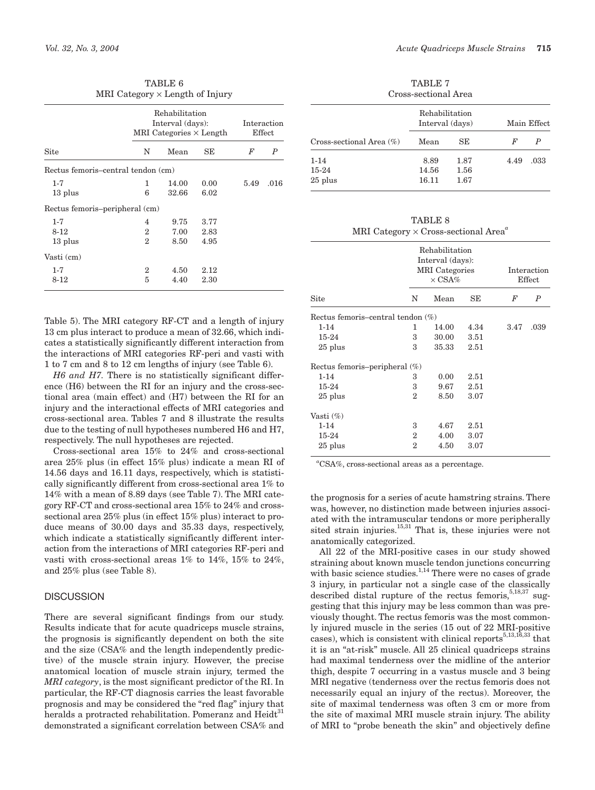|                                    | MRI Category $\times$ Length of Injury |                                                                      |      |      |                  |
|------------------------------------|----------------------------------------|----------------------------------------------------------------------|------|------|------------------|
|                                    |                                        | Rehabilitation<br>Interval (days):<br>MRI Categories $\times$ Length |      |      |                  |
| Site                               | N                                      | Mean                                                                 | SE   | F    | $\boldsymbol{P}$ |
| Rectus femoris-central tendon (cm) |                                        |                                                                      |      |      |                  |
| $1 - 7$                            | 1                                      | 14.00                                                                | 0.00 | 5.49 | .016             |
| 13 plus                            | 6                                      | 32.66                                                                | 6.02 |      |                  |
| Rectus femoris-peripheral (cm)     |                                        |                                                                      |      |      |                  |
| $1 - 7$                            | 4                                      | 9.75                                                                 | 3.77 |      |                  |
| 8-12                               | 2                                      | 7.00                                                                 | 2.83 |      |                  |
| 13 plus                            | 2                                      | 8.50                                                                 | 4.95 |      |                  |
| Vasti (cm)                         |                                        |                                                                      |      |      |                  |
| $1 - 7$                            | 2                                      | 4.50                                                                 | 2.12 |      |                  |
| 8-12                               | 5                                      | 4.40                                                                 | 2.30 |      |                  |

TABLE 6

Table 5). The MRI category RF-CT and a length of injury 13 cm plus interact to produce a mean of 32.66, which indicates a statistically significantly different interaction from the interactions of MRI categories RF-peri and vasti with 1 to 7 cm and 8 to 12 cm lengths of injury (see Table 6).

*H6 and H7.* There is no statistically significant difference (H6) between the RI for an injury and the cross-sectional area (main effect) and (H7) between the RI for an injury and the interactional effects of MRI categories and cross-sectional area. Tables 7 and 8 illustrate the results due to the testing of null hypotheses numbered H6 and H7, respectively. The null hypotheses are rejected.

Cross-sectional area 15% to 24% and cross-sectional area 25% plus (in effect 15% plus) indicate a mean RI of 14.56 days and 16.11 days, respectively, which is statistically significantly different from cross-sectional area 1% to 14% with a mean of 8.89 days (see Table 7). The MRI category RF-CT and cross-sectional area 15% to 24% and crosssectional area 25% plus (in effect 15% plus) interact to produce means of 30.00 days and 35.33 days, respectively, which indicate a statistically significantly different interaction from the interactions of MRI categories RF-peri and vasti with cross-sectional areas 1% to 14%, 15% to 24%, and 25% plus (see Table 8).

#### **DISCUSSION**

There are several significant findings from our study. Results indicate that for acute quadriceps muscle strains, the prognosis is significantly dependent on both the site and the size (CSA% and the length independently predictive) of the muscle strain injury. However, the precise anatomical location of muscle strain injury, termed the *MRI category*, is the most significant predictor of the RI. In particular, the RF-CT diagnosis carries the least favorable prognosis and may be considered the "red flag" injury that heralds a protracted rehabilitation. Pomeranz and Heidt<sup>31</sup> demonstrated a significant correlation between CSA% and

TABLE 7 Cross-sectional Area

|                                  | <u>UI UUU UUUUUUUU I II UU</u><br>Rehabilitation<br>Interval (days) |                      | Main Effect |      |
|----------------------------------|---------------------------------------------------------------------|----------------------|-------------|------|
| Cross-sectional Area $(\%)$      | Mean                                                                | SЕ                   | F           | P    |
| $1 - 14$<br>$15-24$<br>$25$ plus | 8.89<br>14.56<br>16.11                                              | 1.87<br>1.56<br>1.67 | 4.49        | .033 |

TABLE 8 MRI Category × Cross-sectional Area*<sup>a</sup>*

| <b>MRI</b> Categories<br>$\times$ CSA% |       |                                      |                                    | Interaction<br>Effect |  |  |
|----------------------------------------|-------|--------------------------------------|------------------------------------|-----------------------|--|--|
| N                                      | Mean  | SE                                   | F                                  | $\boldsymbol{P}$      |  |  |
|                                        |       |                                      |                                    |                       |  |  |
| 1                                      | 14.00 | 4.34                                 | 3.47                               | .039                  |  |  |
| 3                                      | 30.00 | 3.51                                 |                                    |                       |  |  |
| 3                                      | 35.33 | 2.51                                 |                                    |                       |  |  |
| Rectus femoris-peripheral (%)          |       |                                      |                                    |                       |  |  |
| 3                                      | 0.00  | 2.51                                 |                                    |                       |  |  |
| 3                                      | 9.67  | 2.51                                 |                                    |                       |  |  |
| $\overline{2}$                         | 8.50  | 3.07                                 |                                    |                       |  |  |
|                                        |       |                                      |                                    |                       |  |  |
| 3                                      | 4.67  | 2.51                                 |                                    |                       |  |  |
| $\overline{2}$                         | 4.00  | 3.07                                 |                                    |                       |  |  |
| 2                                      | 4.50  | 3.07                                 |                                    |                       |  |  |
|                                        |       | Rectus femoris-central tendon $(\%)$ | Rehabilitation<br>Interval (days): |                       |  |  |

*a* CSA%, cross-sectional areas as a percentage.

the prognosis for a series of acute hamstring strains. There was, however, no distinction made between injuries associated with the intramuscular tendons or more peripherally sited strain injuries. $15,31$  That is, these injuries were not anatomically categorized.

All 22 of the MRI-positive cases in our study showed straining about known muscle tendon junctions concurring with basic science studies.<sup>1,14</sup> There were no cases of grade 3 injury, in particular not a single case of the classically described distal rupture of the rectus femoris,  $5,18,37$  suggesting that this injury may be less common than was previously thought. The rectus femoris was the most commonly injured muscle in the series (15 out of 22 MRI-positive cases), which is consistent with clinical reports<sup>5,13,16,33</sup> that it is an "at-risk" muscle. All 25 clinical quadriceps strains had maximal tenderness over the midline of the anterior thigh, despite 7 occurring in a vastus muscle and 3 being MRI negative (tenderness over the rectus femoris does not necessarily equal an injury of the rectus). Moreover, the site of maximal tenderness was often 3 cm or more from the site of maximal MRI muscle strain injury. The ability of MRI to "probe beneath the skin" and objectively define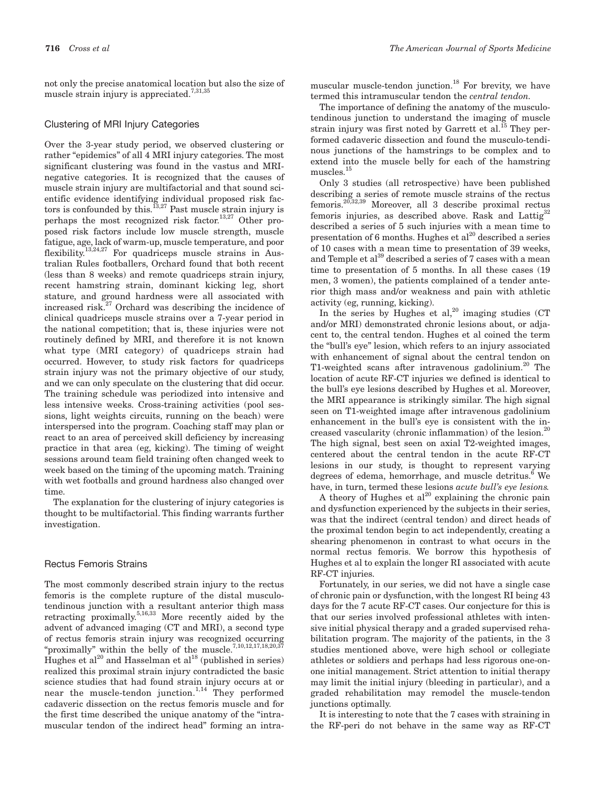not only the precise anatomical location but also the size of muscle strain injury is appreciated.<sup>7,31,35</sup>

#### Clustering of MRI Injury Categories

Over the 3-year study period, we observed clustering or rather "epidemics" of all 4 MRI injury categories. The most significant clustering was found in the vastus and MRInegative categories. It is recognized that the causes of muscle strain injury are multifactorial and that sound scientific evidence identifying individual proposed risk factors is confounded by this.<sup>13,27</sup> Past muscle strain injury is perhaps the most recognized risk factor.<sup>13,27</sup> Other proposed risk factors include low muscle strength, muscle fatigue, age, lack of warm-up, muscle temperature, and poor flexibility.13,24,27 For quadriceps muscle strains in Australian Rules footballers, Orchard found that both recent (less than 8 weeks) and remote quadriceps strain injury, recent hamstring strain, dominant kicking leg, short stature, and ground hardness were all associated with increased risk. $27$  Orchard was describing the incidence of clinical quadriceps muscle strains over a 7-year period in the national competition; that is, these injuries were not routinely defined by MRI, and therefore it is not known what type (MRI category) of quadriceps strain had occurred. However, to study risk factors for quadriceps strain injury was not the primary objective of our study, and we can only speculate on the clustering that did occur. The training schedule was periodized into intensive and less intensive weeks. Cross-training activities (pool sessions, light weights circuits, running on the beach) were interspersed into the program. Coaching staff may plan or react to an area of perceived skill deficiency by increasing practice in that area (eg, kicking). The timing of weight sessions around team field training often changed week to week based on the timing of the upcoming match. Training with wet footballs and ground hardness also changed over time.

The explanation for the clustering of injury categories is thought to be multifactorial. This finding warrants further investigation.

#### Rectus Femoris Strains

The most commonly described strain injury to the rectus femoris is the complete rupture of the distal musculotendinous junction with a resultant anterior thigh mass retracting proximally.<sup>5,16,33</sup> More recently aided by the advent of advanced imaging (CT and MRI), a second type of rectus femoris strain injury was recognized occurring "proximally" within the belly of the muscle.<sup>7,10,12,17,18,20,37</sup> Hughes et al<sup>20</sup> and Hasselman et al<sup>18</sup> (published in series) realized this proximal strain injury contradicted the basic science studies that had found strain injury occurs at or near the muscle-tendon junction.<sup>1,14</sup> They performed cadaveric dissection on the rectus femoris muscle and for the first time described the unique anatomy of the "intramuscular tendon of the indirect head" forming an intramuscular muscle-tendon junction. $^{18}$  For brevity, we have termed this intramuscular tendon the *central tendon.*

The importance of defining the anatomy of the musculotendinous junction to understand the imaging of muscle strain injury was first noted by Garrett et al.<sup>15</sup> They performed cadaveric dissection and found the musculo-tendinous junctions of the hamstrings to be complex and to extend into the muscle belly for each of the hamstring muscles.15

Only 3 studies (all retrospective) have been published describing a series of remote muscle strains of the rectus femoris.20,32,39 Moreover, all 3 describe proximal rectus femoris injuries, as described above. Rask and Lattig<sup>32</sup> described a series of 5 such injuries with a mean time to presentation of 6 months. Hughes et  $al^{20}$  described a series of 10 cases with a mean time to presentation of 39 weeks, and Temple et al<sup>39</sup> described a series of 7 cases with a mean time to presentation of 5 months. In all these cases (19 men, 3 women), the patients complained of a tender anterior thigh mass and/or weakness and pain with athletic activity (eg, running, kicking).

In the series by Hughes et al,  $^{20}$  imaging studies (CT) and/or MRI) demonstrated chronic lesions about, or adjacent to, the central tendon. Hughes et al coined the term the "bull's eye" lesion, which refers to an injury associated with enhancement of signal about the central tendon on T1-weighted scans after intravenous gadolinium.<sup>20</sup> The location of acute RF-CT injuries we defined is identical to the bull's eye lesions described by Hughes et al. Moreover, the MRI appearance is strikingly similar. The high signal seen on T1-weighted image after intravenous gadolinium enhancement in the bull's eye is consistent with the increased vascularity (chronic inflammation) of the lesion.<sup>20</sup> The high signal, best seen on axial T2-weighted images, centered about the central tendon in the acute RF-CT lesions in our study, is thought to represent varying degrees of edema, hemorrhage, and muscle detritus.<sup>6</sup> We have, in turn, termed these lesions *acute bull's eye lesions.*

A theory of Hughes et  $al^{20}$  explaining the chronic pain and dysfunction experienced by the subjects in their series, was that the indirect (central tendon) and direct heads of the proximal tendon begin to act independently, creating a shearing phenomenon in contrast to what occurs in the normal rectus femoris. We borrow this hypothesis of Hughes et al to explain the longer RI associated with acute RF-CT injuries.

Fortunately, in our series, we did not have a single case of chronic pain or dysfunction, with the longest RI being 43 days for the 7 acute RF-CT cases. Our conjecture for this is that our series involved professional athletes with intensive initial physical therapy and a graded supervised rehabilitation program. The majority of the patients, in the 3 studies mentioned above, were high school or collegiate athletes or soldiers and perhaps had less rigorous one-onone initial management. Strict attention to initial therapy may limit the initial injury (bleeding in particular), and a graded rehabilitation may remodel the muscle-tendon junctions optimally.

It is interesting to note that the 7 cases with straining in the RF-peri do not behave in the same way as RF-CT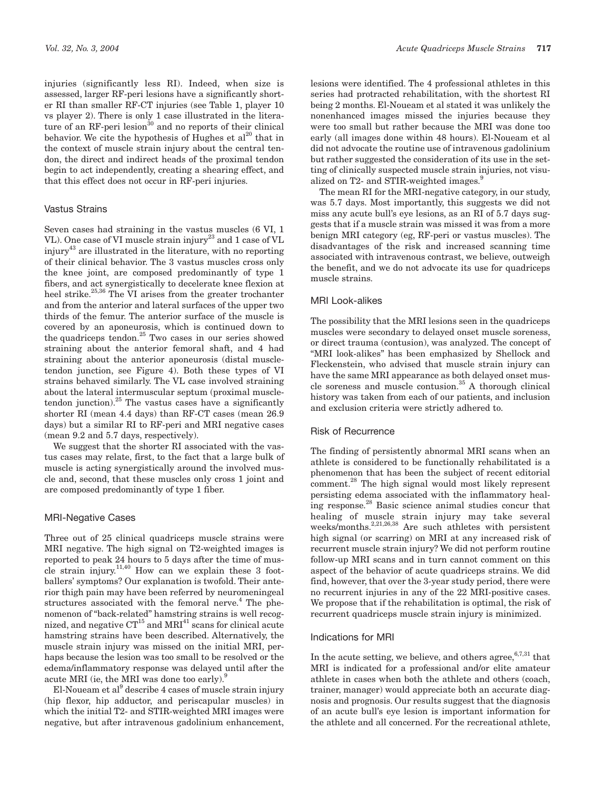injuries (significantly less RI). Indeed, when size is assessed, larger RF-peri lesions have a significantly shorter RI than smaller RF-CT injuries (see Table 1, player 10 vs player 2). There is only 1 case illustrated in the literature of an RF-peri lesion $30$  and no reports of their clinical behavior. We cite the hypothesis of Hughes et  $al^{20}$  that in the context of muscle strain injury about the central tendon, the direct and indirect heads of the proximal tendon begin to act independently, creating a shearing effect, and that this effect does not occur in RF-peri injuries.

# Vastus Strains

Seven cases had straining in the vastus muscles (6 VI, 1 VL). One case of VI muscle strain injury<sup>23</sup> and 1 case of VL injury43 are illustrated in the literature, with no reporting of their clinical behavior. The 3 vastus muscles cross only the knee joint, are composed predominantly of type 1 fibers, and act synergistically to decelerate knee flexion at heel strike.<sup>25,36</sup> The  $\overline{VI}$  arises from the greater trochanter and from the anterior and lateral surfaces of the upper two thirds of the femur. The anterior surface of the muscle is covered by an aponeurosis, which is continued down to the quadriceps tendon.<sup>25</sup> Two cases in our series showed straining about the anterior femoral shaft, and 4 had straining about the anterior aponeurosis (distal muscletendon junction, see Figure 4). Both these types of VI strains behaved similarly. The VL case involved straining about the lateral intermuscular septum (proximal muscletendon junction). $25$  The vastus cases have a significantly shorter RI (mean 4.4 days) than RF-CT cases (mean 26.9 days) but a similar RI to RF-peri and MRI negative cases (mean 9.2 and 5.7 days, respectively).

We suggest that the shorter RI associated with the vastus cases may relate, first, to the fact that a large bulk of muscle is acting synergistically around the involved muscle and, second, that these muscles only cross 1 joint and are composed predominantly of type 1 fiber.

# MRI-Negative Cases

Three out of 25 clinical quadriceps muscle strains were MRI negative. The high signal on T2-weighted images is reported to peak 24 hours to 5 days after the time of muscle strain injury.<sup>11,40</sup> How can we explain these 3 footballers' symptoms? Our explanation is twofold. Their anterior thigh pain may have been referred by neuromeningeal structures associated with the femoral nerve. $4$  The phenomenon of "back-related" hamstring strains is well recognized, and negative  $CT^{15}$  and  $MRI^{41}$  scans for clinical acute hamstring strains have been described. Alternatively, the muscle strain injury was missed on the initial MRI, perhaps because the lesion was too small to be resolved or the edema/inflammatory response was delayed until after the acute MRI (ie, the MRI was done too early).<sup>9</sup>

El-Noueam et al<sup>9</sup> describe 4 cases of muscle strain injury (hip flexor, hip adductor, and periscapular muscles) in which the initial T2- and STIR-weighted MRI images were negative, but after intravenous gadolinium enhancement, lesions were identified. The 4 professional athletes in this series had protracted rehabilitation, with the shortest RI being 2 months. El-Noueam et al stated it was unlikely the nonenhanced images missed the injuries because they were too small but rather because the MRI was done too early (all images done within 48 hours). El-Noueam et al did not advocate the routine use of intravenous gadolinium but rather suggested the consideration of its use in the setting of clinically suspected muscle strain injuries, not visualized on T2- and STIR-weighted images.<sup>9</sup>

The mean RI for the MRI-negative category, in our study, was 5.7 days. Most importantly, this suggests we did not miss any acute bull's eye lesions, as an RI of 5.7 days suggests that if a muscle strain was missed it was from a more benign MRI category (eg, RF-peri or vastus muscles). The disadvantages of the risk and increased scanning time associated with intravenous contrast, we believe, outweigh the benefit, and we do not advocate its use for quadriceps muscle strains.

### MRI Look-alikes

The possibility that the MRI lesions seen in the quadriceps muscles were secondary to delayed onset muscle soreness, or direct trauma (contusion), was analyzed. The concept of "MRI look-alikes" has been emphasized by Shellock and Fleckenstein, who advised that muscle strain injury can have the same MRI appearance as both delayed onset muscle soreness and muscle contusion. $35$  A thorough clinical history was taken from each of our patients, and inclusion and exclusion criteria were strictly adhered to.

# Risk of Recurrence

The finding of persistently abnormal MRI scans when an athlete is considered to be functionally rehabilitated is a phenomenon that has been the subject of recent editorial comment.28 The high signal would most likely represent persisting edema associated with the inflammatory healing response.28 Basic science animal studies concur that healing of muscle strain injury may take several weeks/months.<sup>2,21,26,38</sup> Are such athletes with persistent high signal (or scarring) on MRI at any increased risk of recurrent muscle strain injury? We did not perform routine follow-up MRI scans and in turn cannot comment on this aspect of the behavior of acute quadriceps strains. We did find, however, that over the 3-year study period, there were no recurrent injuries in any of the 22 MRI-positive cases. We propose that if the rehabilitation is optimal, the risk of recurrent quadriceps muscle strain injury is minimized.

#### Indications for MRI

In the acute setting, we believe, and others agree,  $6,7,31$  that MRI is indicated for a professional and/or elite amateur athlete in cases when both the athlete and others (coach, trainer, manager) would appreciate both an accurate diagnosis and prognosis. Our results suggest that the diagnosis of an acute bull's eye lesion is important information for the athlete and all concerned. For the recreational athlete,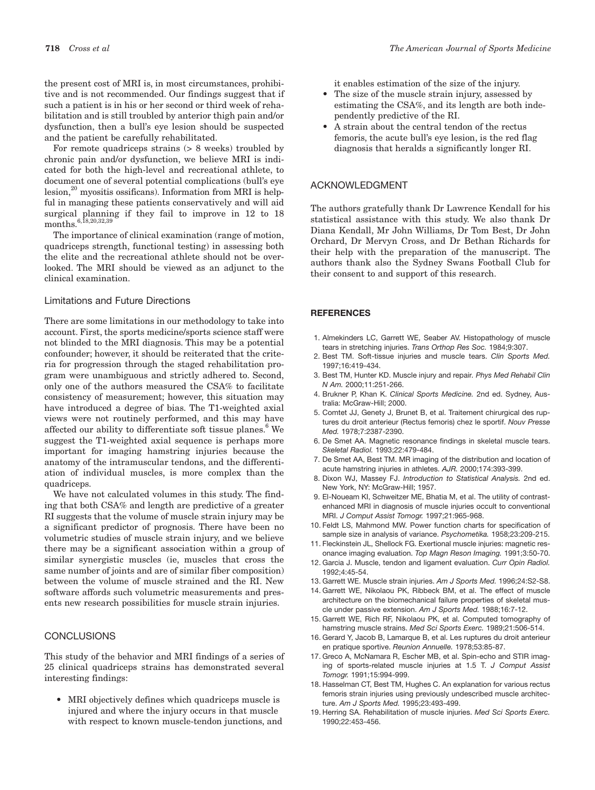the present cost of MRI is, in most circumstances, prohibitive and is not recommended. Our findings suggest that if such a patient is in his or her second or third week of rehabilitation and is still troubled by anterior thigh pain and/or dysfunction, then a bull's eye lesion should be suspected and the patient be carefully rehabilitated.

For remote quadriceps strains (> 8 weeks) troubled by chronic pain and/or dysfunction, we believe MRI is indicated for both the high-level and recreational athlete, to document one of several potential complications (bull's eye  $l_{\text{e}}$ lesion,<sup>20</sup> myositis ossificans). Information from MRI is helpful in managing these patients conservatively and will aid surgical planning if they fail to improve in 12 to 18 months.<sup>6,18,20,32,39</sup>

The importance of clinical examination (range of motion, quadriceps strength, functional testing) in assessing both the elite and the recreational athlete should not be overlooked. The MRI should be viewed as an adjunct to the clinical examination.

## Limitations and Future Directions

There are some limitations in our methodology to take into account. First, the sports medicine/sports science staff were not blinded to the MRI diagnosis. This may be a potential confounder; however, it should be reiterated that the criteria for progression through the staged rehabilitation program were unambiguous and strictly adhered to. Second, only one of the authors measured the CSA% to facilitate consistency of measurement; however, this situation may have introduced a degree of bias. The T1-weighted axial views were not routinely performed, and this may have affected our ability to differentiate soft tissue planes.<sup>6</sup> We suggest the T1-weighted axial sequence is perhaps more important for imaging hamstring injuries because the anatomy of the intramuscular tendons, and the differentiation of individual muscles, is more complex than the quadriceps.

We have not calculated volumes in this study. The finding that both CSA% and length are predictive of a greater RI suggests that the volume of muscle strain injury may be a significant predictor of prognosis. There have been no volumetric studies of muscle strain injury, and we believe there may be a significant association within a group of similar synergistic muscles (ie, muscles that cross the same number of joints and are of similar fiber composition) between the volume of muscle strained and the RI. New software affords such volumetric measurements and presents new research possibilities for muscle strain injuries.

#### **CONCLUSIONS**

This study of the behavior and MRI findings of a series of 25 clinical quadriceps strains has demonstrated several interesting findings:

• MRI objectively defines which quadriceps muscle is injured and where the injury occurs in that muscle with respect to known muscle-tendon junctions, and it enables estimation of the size of the injury.

- The size of the muscle strain injury, assessed by estimating the CSA%, and its length are both independently predictive of the RI.
- A strain about the central tendon of the rectus femoris, the acute bull's eye lesion, is the red flag diagnosis that heralds a significantly longer RI.

# ACKNOWLEDGMENT

The authors gratefully thank Dr Lawrence Kendall for his statistical assistance with this study. We also thank Dr Diana Kendall, Mr John Williams, Dr Tom Best, Dr John Orchard, Dr Mervyn Cross, and Dr Bethan Richards for their help with the preparation of the manuscript. The authors thank also the Sydney Swans Football Club for their consent to and support of this research.

#### **REFERENCES**

- 1. Almekinders LC, Garrett WE, Seaber AV. Histopathology of muscle tears in stretching injuries. *Trans Orthop Res Soc.* 1984;9:307.
- 2. Best TM. Soft-tissue injuries and muscle tears. *Clin Sports Med.* 1997;16:419-434.
- 3. Best TM, Hunter KD. Muscle injury and repair*. Phys Med Rehabil Clin N Am.* 2000;11:251-266.
- 4. Brukner P, Khan K. *Clinical Sports Medicine.* 2nd ed. Sydney, Australia: McGraw-Hill; 2000.
- 5. Comtet JJ, Genety J, Brunet B, et al. Traitement chirurgical des ruptures du droit anterieur (Rectus femoris) chez le sportif. *Nouv Presse Med.* 1978;7:2387-2390.
- 6. De Smet AA. Magnetic resonance findings in skeletal muscle tears. *Skeletal Radiol.* 1993;22:479-484.
- 7. De Smet AA, Best TM. MR imaging of the distribution and location of acute hamstring injuries in athletes. *AJR.* 2000;174:393-399.
- 8. Dixon WJ, Massey FJ. *Introduction to Statistical Analysis.* 2nd ed. New York, NY: McGraw-Hill; 1957.
- 9. El-Noueam KI, Schweitzer ME, Bhatia M, et al. The utility of contrastenhanced MRI in diagnosis of muscle injuries occult to conventional MRI. *J Comput Assist Tomogr.* 1997;21:965-968.
- 10. Feldt LS, Mahmond MW. Power function charts for specification of sample size in analysis of variance. *Psychometika.* 1958;23:209-215.
- 11. Fleckinstein JL, Shellock FG. Exertional muscle injuries: magnetic resonance imaging evaluation. *Top Magn Reson Imaging.* 1991;3:50-70.
- 12. Garcia J. Muscle, tendon and ligament evaluation. *Curr Opin Radiol.* 1992;4:45-54.
- 13. Garrett WE. Muscle strain injuries. *Am J Sports Med.* 1996;24:S2-S8.
- 14. Garrett WE, Nikolaou PK, Ribbeck BM, et al. The effect of muscle architecture on the biomechanical failure properties of skeletal muscle under passive extension. *Am J Sports Med.* 1988;16:7-12.
- 15. Garrett WE, Rich RF, Nikolaou PK, et al. Computed tomography of hamstring muscle strains. *Med Sci Sports Exerc.* 1989;21:506-514.
- 16. Gerard Y, Jacob B, Lamarque B, et al. Les ruptures du droit anterieur en pratique sportive. *Reunion Annuelle.* 1978;53:85-87.
- 17. Greco A, McNamara R, Escher MB, et al. Spin-echo and STIR imaging of sports-related muscle injuries at 1.5 T. *J Comput Assist Tomogr.* 1991;15:994-999.
- 18. Hasselman CT, Best TM, Hughes C. An explanation for various rectus femoris strain injuries using previously undescribed muscle architecture. *Am J Sports Med.* 1995;23:493-499.
- 19. Herring SA. Rehabilitation of muscle injuries. *Med Sci Sports Exerc.* 1990;22:453-456.